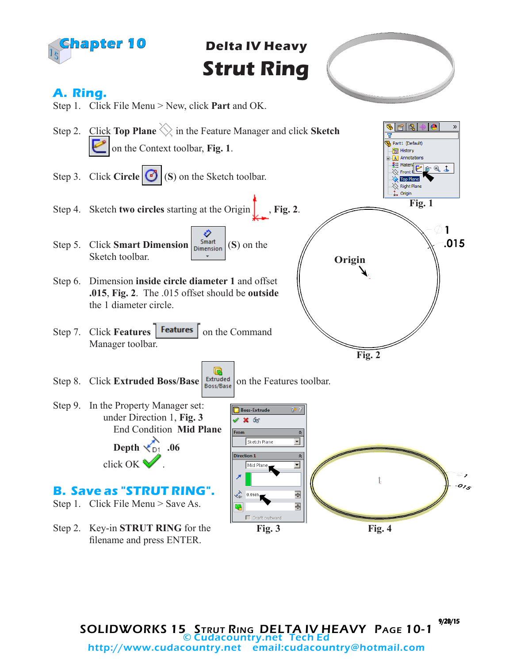

**Delta IV Heavy Strut Ring**



History A Annotations

Top Plane  $\overline{\diamondsuit}$  Right Plane 1. Origin

**Fig. 1**

 $\mathbf{1}$  $.015$ 

SE Materik **2 6 8 4** 

## **A. Ring.**



Step 9. In the Property Manager set: under Direction 1, **Fig. 3** End Condition **Mid Plane Depth .06**

**B. Save as "STRUT RING".**

Step 1. Click File Menu > Save As.

click OK .

Step 2. Key-in **STRUT RING** for the filename and press ENTER.

**Boss-Extrude**  $\times$  60  $\hat{\mathbf{x}}$ Sketch Plane  $\overline{\mathbf{r}}$ **Direction 1**  $\hat{\mathbf{z}}$  $\overline{\mathbf{r}}$ Mid Plane  $o_{I_S}$  $\div$  $\sum_{D1}$  0.06in 츾  $\Box$  Draft outward **Fig. 3 Fig. 4**

SOLIDWORKS 15 STRUT RING DELTA IV HEAVY PAGE 10-1 © Cudacountry.net Tech Ed http://www.cudacountry.net email:cudacountry@hotmail.com